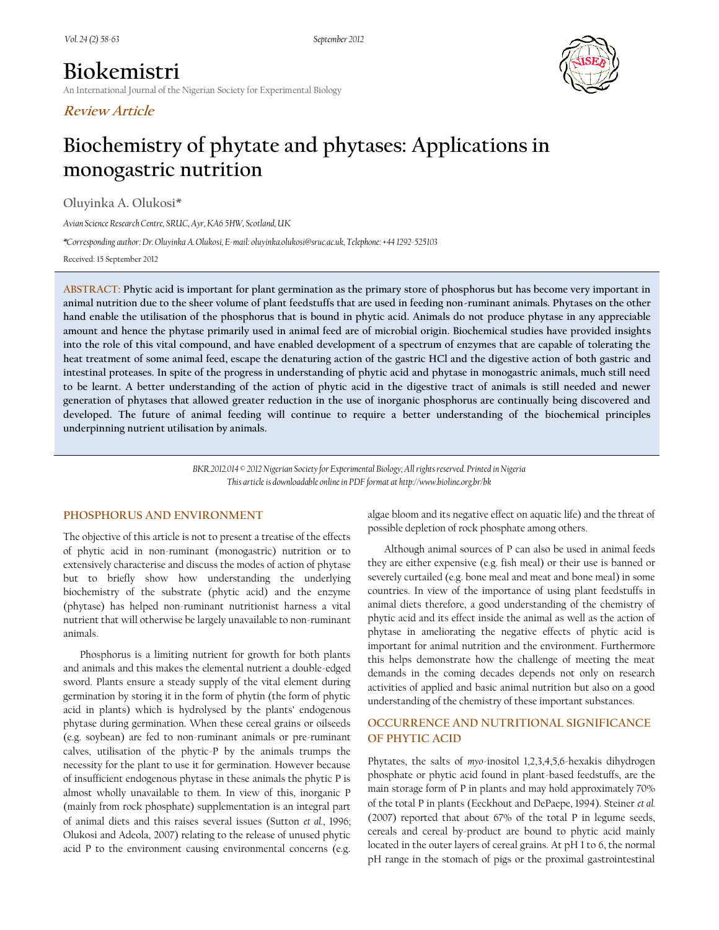# **Biokemistri** An International Journal of the Nigerian Society for Experimental Biology





# **Biochemistry of phytate and phytases: Applications in monogastric nutrition**

**Oluyinka A. Olukosi\***

*Avian Science Research Centre, SRUC, Ayr, KA6 5HW, Scotland, UK*

*\*Corresponding author:Dr. Oluyinka A. Olukosi, E-mail: oluyinka.olukosi@sruc.ac.uk, Telephone: +44 1292-525103*

Received: 15 September 2012

**ABSTRACT: Phytic acid is important for plant germination as the primary store of phosphorus but has become very important in animal nutrition due to the sheer volume of plant feedstuffs that are used in feeding non-ruminant animals. Phytases on the other hand enable the utilisation of the phosphorus that is bound in phytic acid. Animals do not produce phytase in any appreciable amount and hence the phytase primarily used in animal feed are of microbial origin. Biochemical studies have provided insights into the role of this vital compound, and have enabled development of a spectrum of enzymes that are capable of tolerating the heat treatment of some animal feed, escape the denaturing action of the gastric HCl and the digestive action of both gastric and intestinal proteases. In spite of the progress in understanding of phytic acid and phytase in monogastric animals, much still need to be learnt. A better understanding of the action of phytic acid in the digestive tract of animals is still needed and newer generation of phytases that allowed greater reduction in the use of inorganic phosphorus are continually being discovered and developed. The future of animal feeding will continue to require a better understanding of the biochemical principles underpinning nutrient utilisation by animals.**

> *BKR.2012.014 © 2012 Nigerian Society for Experimental Biology; All rights reserved. Printed in Nigeria This article is downloadable online in PDF format at http://www.bioline.org.br/bk*

#### **PHOSPHORUS AND ENVIRONMENT**

The objective of this article is not to present a treatise of the effects of phytic acid in non-ruminant (monogastric) nutrition or to extensively characterise and discuss the modes of action of phytase but to briefly show how understanding the underlying biochemistry of the substrate (phytic acid) and the enzyme (phytase) has helped non-ruminant nutritionist harness a vital nutrient that will otherwise be largely unavailable to non-ruminant animals.

Phosphorus is a limiting nutrient for growth for both plants and animals and this makes the elemental nutrient a double-edged sword. Plants ensure a steady supply of the vital element during germination by storing it in the form of phytin (the form of phytic acid in plants) which is hydrolysed by the plants' endogenous phytase during germination. When these cereal grains or oilseeds (e.g. soybean) are fed to non-ruminant animals or pre-ruminant calves, utilisation of the phytic-P by the animals trumps the necessity for the plant to use it for germination. However because of insufficient endogenous phytase in these animals the phytic P is almost wholly unavailable to them. In view of this, inorganic P (mainly from rock phosphate) supplementation is an integral part of animal diets and this raises several issues (Sutton *et al.*, 1996; Olukosi and Adeola, 2007) relating to the release of unused phytic acid P to the environment causing environmental concerns (e.g.

algae bloom and its negative effect on aquatic life) and the threat of possible depletion of rock phosphate among others.

Although animal sources of P can also be used in animal feeds they are either expensive (e.g. fish meal) or their use is banned or severely curtailed (e.g. bone meal and meat and bone meal) in some countries. In view of the importance of using plant feedstuffs in animal diets therefore, a good understanding of the chemistry of phytic acid and its effect inside the animal as well as the action of phytase in ameliorating the negative effects of phytic acid is important for animal nutrition and the environment. Furthermore this helps demonstrate how the challenge of meeting the meat demands in the coming decades depends not only on research activities of applied and basic animal nutrition but also on a good understanding of the chemistry of these important substances.

## **OCCURRENCE AND NUTRITIONAL SIGNIFICANCE OF PHYTIC ACID**

Phytates, the salts of *myo*-inositol 1,2,3,4,5,6-hexakis dihydrogen phosphate or phytic acid found in plant-based feedstuffs, are the main storage form of P in plants and may hold approximately 70% of the total P in plants (Eeckhout and DePaepe, 1994). Steiner *et al.* (2007) reported that about 67% of the total P in legume seeds, cereals and cereal by-product are bound to phytic acid mainly located in the outer layers of cereal grains. At pH 1 to 6, the normal pH range in the stomach of pigs or the proximal gastrointestinal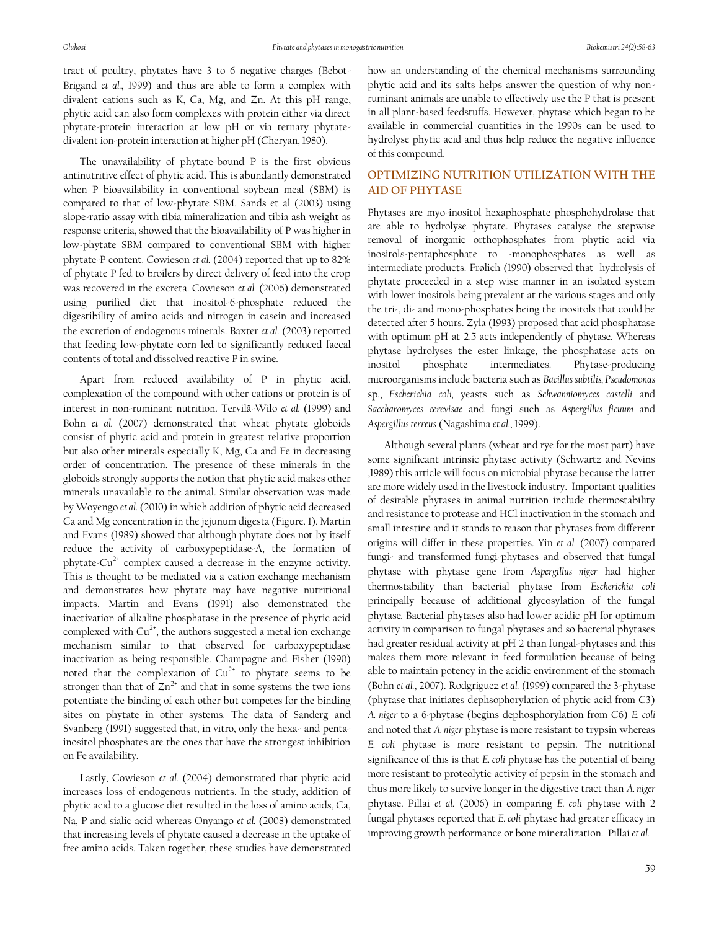tract of poultry, phytates have 3 to 6 negative charges (Bebot-Brigand *et al.*, 1999) and thus are able to form a complex with divalent cations such as K, Ca, Mg, and Zn. At this pH range, phytic acid can also form complexes with protein either via direct phytate-protein interaction at low pH or via ternary phytatedivalent ion-protein interaction at higher pH (Cheryan, 1980).

The unavailability of phytate-bound P is the first obvious antinutritive effect of phytic acid. This is abundantly demonstrated when P bioavailability in conventional soybean meal (SBM) is compared to that of low-phytate SBM. Sands et al (2003) using slope-ratio assay with tibia mineralization and tibia ash weight as response criteria, showed that the bioavailability of P was higher in low-phytate SBM compared to conventional SBM with higher phytate-P content. Cowieson *et al.* (2004) reported that up to 82% of phytate P fed to broilers by direct delivery of feed into the crop was recovered in the excreta. Cowieson *et al.* (2006) demonstrated using purified diet that inositol-6-phosphate reduced the digestibility of amino acids and nitrogen in casein and increased the excretion of endogenous minerals. Baxter *et al.* (2003) reported that feeding low-phytate corn led to significantly reduced faecal contents of total and dissolved reactive P in swine.

Apart from reduced availability of P in phytic acid, complexation of the compound with other cations or protein is of interest in non-ruminant nutrition. Tervilä-Wilo *et al.* (1999) and Bohn *et al.* (2007) demonstrated that wheat phytate globoids consist of phytic acid and protein in greatest relative proportion but also other minerals especially K, Mg, Ca and Fe in decreasing order of concentration. The presence of these minerals in the globoids strongly supports the notion that phytic acid makes other minerals unavailable to the animal. Similar observation was made by Woyengo *et al.* (2010) in which addition of phytic acid decreased Ca and Mg concentration in the jejunum digesta (Figure. 1). Martin and Evans (1989) showed that although phytate does not by itself reduce the activity of carboxypeptidase-A, the formation of phytate-Cu<sup>2+</sup> complex caused a decrease in the enzyme activity. This is thought to be mediated via a cation exchange mechanism and demonstrates how phytate may have negative nutritional impacts. Martin and Evans (1991) also demonstrated the inactivation of alkaline phosphatase in the presence of phytic acid complexed with  $Cu^{2+}$ , the authors suggested a metal ion exchange mechanism similar to that observed for carboxypeptidase inactivation as being responsible. Champagne and Fisher (1990) noted that the complexation of  $Cu^{2+}$  to phytate seems to be stronger than that of  $\text{Zn}^{2+}$  and that in some systems the two ions potentiate the binding of each other but competes for the binding sites on phytate in other systems. The data of Sanderg and Svanberg (1991) suggested that, in vitro, only the hexa- and pentainositol phosphates are the ones that have the strongest inhibition on Fe availability.

Lastly, Cowieson *et al.* (2004) demonstrated that phytic acid increases loss of endogenous nutrients. In the study, addition of phytic acid to a glucose diet resulted in the loss of amino acids, Ca, Na, P and sialic acid whereas Onyango *et al.* (2008) demonstrated that increasing levels of phytate caused a decrease in the uptake of free amino acids. Taken together, these studies have demonstrated how an understanding of the chemical mechanisms surrounding phytic acid and its salts helps answer the question of why nonruminant animals are unable to effectively use the P that is present in all plant-based feedstuffs. However, phytase which began to be available in commercial quantities in the 1990s can be used to hydrolyse phytic acid and thus help reduce the negative influence of this compound.

### **OPTIMIZING NUTRITION UTILIZATION WITH THE AID OF PHYTASE**

Phytases are myo-inositol hexaphosphate phosphohydrolase that are able to hydrolyse phytate. Phytases catalyse the stepwise removal of inorganic orthophosphates from phytic acid via inositols-pentaphosphate to -monophosphates as well as intermediate products. Frølich (1990) observed that hydrolysis of phytate proceeded in a step wise manner in an isolated system with lower inositols being prevalent at the various stages and only the tri-, di- and mono-phosphates being the inositols that could be detected after 5 hours. Zyla (1993) proposed that acid phosphatase with optimum pH at 2.5 acts independently of phytase. Whereas phytase hydrolyses the ester linkage, the phosphatase acts on inositol phosphate intermediates. Phytase-producing microorganisms include bacteria such as *Bacillus subtilis, Pseudomonas*  sp., *Escherichia coli,* yeasts such as *Schwanniomyces castelli* and *Saccharomyces cerevisae* and fungi such as *Aspergillus ficuum* and *Aspergillus terreus* (Nagashima *et al.*, 1999).

Although several plants (wheat and rye for the most part) have some significant intrinsic phytase activity (Schwartz and Nevins ,1989) this article will focus on microbial phytase because the latter are more widely used in the livestock industry. Important qualities of desirable phytases in animal nutrition include thermostability and resistance to protease and HCl inactivation in the stomach and small intestine and it stands to reason that phytases from different origins will differ in these properties. Yin *et al.* (2007) compared fungi- and transformed fungi-phytases and observed that fungal phytase with phytase gene from *Aspergillus niger* had higher thermostability than bacterial phytase from *Escherichia coli* principally because of additional glycosylation of the fungal phytase*.* Bacterial phytases also had lower acidic pH for optimum activity in comparison to fungal phytases and so bacterial phytases had greater residual activity at pH 2 than fungal-phytases and this makes them more relevant in feed formulation because of being able to maintain potency in the acidic environment of the stomach (Bohn *et al.*, 2007). Rodgriguez *et al.* (1999) compared the 3-phytase (phytase that initiates dephsophorylation of phytic acid from C3) *A. niger* to a 6-phytase (begins dephosphorylation from C6) *E. coli* and noted that *A. niger* phytase is more resistant to trypsin whereas *E. coli* phytase is more resistant to pepsin. The nutritional significance of this is that *E. coli* phytase has the potential of being more resistant to proteolytic activity of pepsin in the stomach and thus more likely to survive longer in the digestive tract than *A. niger* phytase. Pillai *et al.* (2006) in comparing *E. coli* phytase with 2 fungal phytases reported that *E. coli* phytase had greater efficacy in improving growth performance or bone mineralization. Pillai *et al.*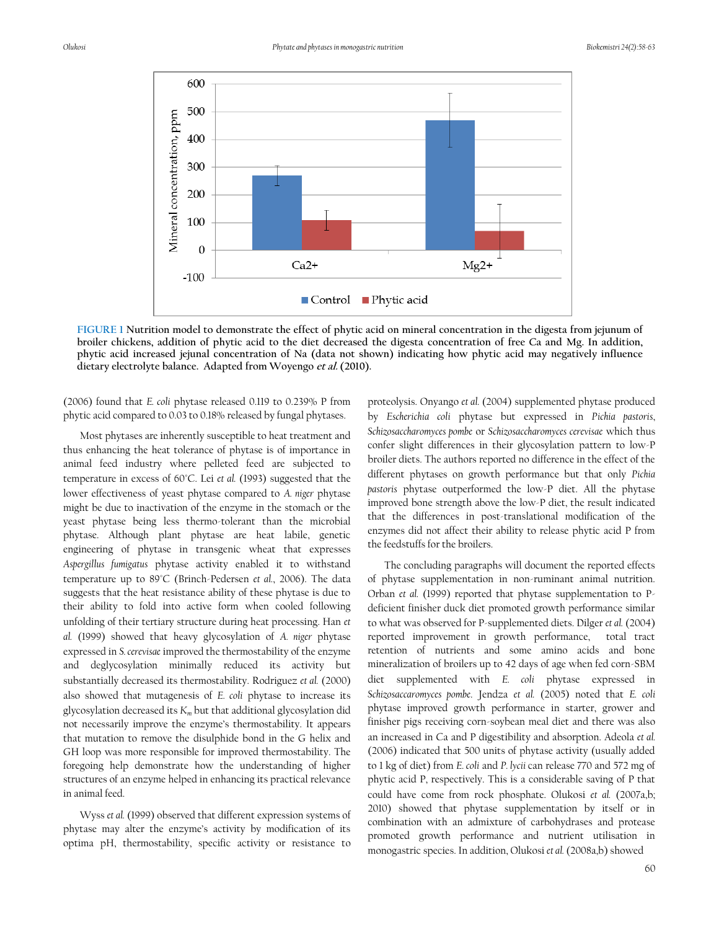

**FIGURE 1 Nutrition model to demonstrate the effect of phytic acid on mineral concentration in the digesta from jejunum of broiler chickens, addition of phytic acid to the diet decreased the digesta concentration of free Ca and Mg. In addition, phytic acid increased jejunal concentration of Na (data not shown) indicating how phytic acid may negatively influence dietary electrolyte balance. Adapted from Woyengo et al. (2010).**

(2006) found that *E. coli* phytase released 0.119 to 0.239% P from phytic acid compared to 0.03 to 0.18% released by fungal phytases.

Most phytases are inherently susceptible to heat treatment and thus enhancing the heat tolerance of phytase is of importance in animal feed industry where pelleted feed are subjected to temperature in excess of 60°C. Lei *et al.* (1993) suggested that the lower effectiveness of yeast phytase compared to *A. niger* phytase might be due to inactivation of the enzyme in the stomach or the yeast phytase being less thermo-tolerant than the microbial phytase. Although plant phytase are heat labile, genetic engineering of phytase in transgenic wheat that expresses *Aspergillus fumigatus* phytase activity enabled it to withstand temperature up to 89°C (Brinch-Pedersen *et al.*, 2006). The data suggests that the heat resistance ability of these phytase is due to their ability to fold into active form when cooled following unfolding of their tertiary structure during heat processing. Han *et al.* (1999) showed that heavy glycosylation of *A. niger* phytase expressed in *S. cerevisae* improved the thermostability of the enzyme and deglycosylation minimally reduced its activity but substantially decreased its thermostability. Rodriguez *et al.* (2000) also showed that mutagenesis of *E. coli* phytase to increase its glycosylation decreased its *K<sup>m</sup>* but that additional glycosylation did not necessarily improve the enzyme's thermostability. It appears that mutation to remove the disulphide bond in the G helix and GH loop was more responsible for improved thermostability. The foregoing help demonstrate how the understanding of higher structures of an enzyme helped in enhancing its practical relevance in animal feed.

Wyss *et al.* (1999) observed that different expression systems of phytase may alter the enzyme's activity by modification of its optima pH, thermostability, specific activity or resistance to

proteolysis. Onyango *et al.* (2004) supplemented phytase produced by *Escherichia coli* phytase but expressed in *Pichia pastoris*, *Schizosaccharomyces pombe* or *Schizosaccharomyces cerevisae* which thus confer slight differences in their glycosylation pattern to low-P broiler diets. The authors reported no difference in the effect of the different phytases on growth performance but that only *Pichia pastoris* phytase outperformed the low-P diet. All the phytase improved bone strength above the low-P diet, the result indicated that the differences in post-translational modification of the enzymes did not affect their ability to release phytic acid P from the feedstuffs for the broilers.

The concluding paragraphs will document the reported effects of phytase supplementation in non-ruminant animal nutrition. Orban *et al.* (1999) reported that phytase supplementation to Pdeficient finisher duck diet promoted growth performance similar to what was observed for P-supplemented diets. Dilger *et al.* (2004) reported improvement in growth performance, total tract retention of nutrients and some amino acids and bone mineralization of broilers up to 42 days of age when fed corn-SBM diet supplemented with *E. coli* phytase expressed in *Schizosaccaromyces pombe*. Jendza *et al.* (2005) noted that *E. coli* phytase improved growth performance in starter, grower and finisher pigs receiving corn-soybean meal diet and there was also an increased in Ca and P digestibility and absorption. Adeola *et al.* (2006) indicated that 500 units of phytase activity (usually added to 1 kg of diet) from *E. coli* and *P. lycii* can release 770 and 572 mg of phytic acid P, respectively. This is a considerable saving of P that could have come from rock phosphate. Olukosi *et al.* (2007a,b; 2010) showed that phytase supplementation by itself or in combination with an admixture of carbohydrases and protease promoted growth performance and nutrient utilisation in monogastric species. In addition, Olukosi *et al.* (2008a,b) showed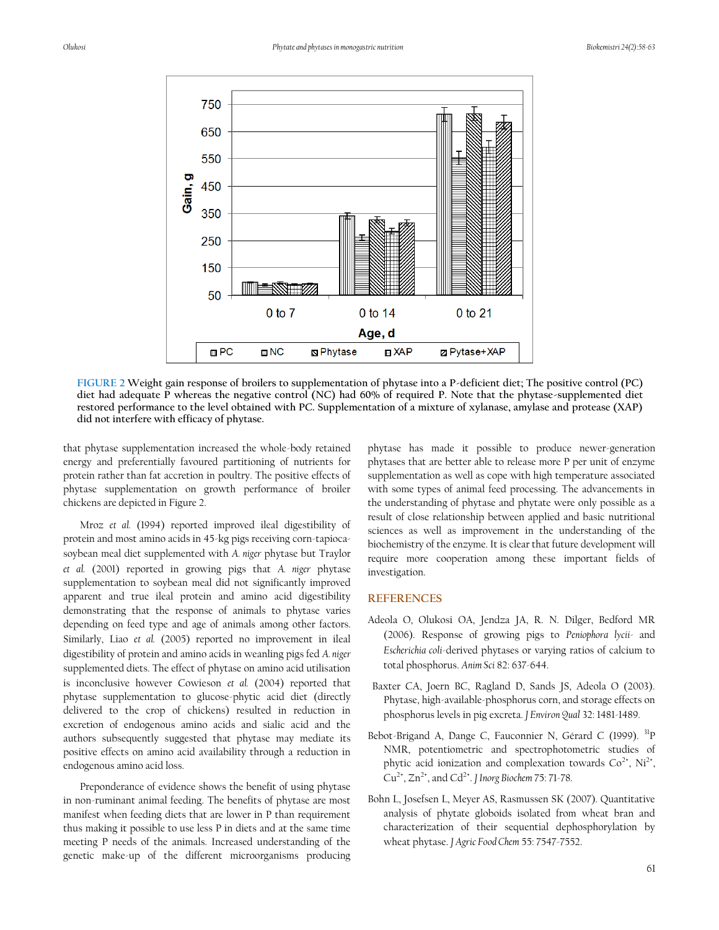

**FIGURE 2 Weight gain response of broilers to supplementation of phytase into a P-deficient diet; The positive control (PC) diet had adequate P whereas the negative control (NC) had 60% of required P. Note that the phytase-supplemented diet restored performance to the level obtained with PC. Supplementation of a mixture of xylanase, amylase and protease (XAP) did not interfere with efficacy of phytase.**

that phytase supplementation increased the whole-body retained energy and preferentially favoured partitioning of nutrients for protein rather than fat accretion in poultry. The positive effects of phytase supplementation on growth performance of broiler chickens are depicted in Figure 2.

Mroz *et al.* (1994) reported improved ileal digestibility of protein and most amino acids in 45-kg pigs receiving corn-tapiocasoybean meal diet supplemented with *A. niger* phytase but Traylor *et al.* (2001) reported in growing pigs that *A. niger* phytase supplementation to soybean meal did not significantly improved apparent and true ileal protein and amino acid digestibility demonstrating that the response of animals to phytase varies depending on feed type and age of animals among other factors. Similarly, Liao *et al.* (2005) reported no improvement in ileal digestibility of protein and amino acids in weanling pigs fed *A. niger* supplemented diets. The effect of phytase on amino acid utilisation is inconclusive however Cowieson *et al.* (2004) reported that phytase supplementation to glucose-phytic acid diet (directly delivered to the crop of chickens) resulted in reduction in excretion of endogenous amino acids and sialic acid and the authors subsequently suggested that phytase may mediate its positive effects on amino acid availability through a reduction in endogenous amino acid loss.

Preponderance of evidence shows the benefit of using phytase in non-ruminant animal feeding. The benefits of phytase are most manifest when feeding diets that are lower in P than requirement thus making it possible to use less P in diets and at the same time meeting P needs of the animals. Increased understanding of the genetic make-up of the different microorganisms producing

phytase has made it possible to produce newer-generation phytases that are better able to release more P per unit of enzyme supplementation as well as cope with high temperature associated with some types of animal feed processing. The advancements in the understanding of phytase and phytate were only possible as a result of close relationship between applied and basic nutritional sciences as well as improvement in the understanding of the biochemistry of the enzyme. It is clear that future development will require more cooperation among these important fields of investigation.

#### **REFERENCES**

- Adeola O, Olukosi OA, Jendza JA, R. N. Dilger, Bedford MR (2006). Response of growing pigs to *Peniophora lycii-* and *Escherichia coli*-derived phytases or varying ratios of calcium to total phosphorus. *Anim Sci* 82: 637-644.
- Baxter CA, Joern BC, Ragland D, Sands JS, Adeola O (2003). Phytase, high-available-phosphorus corn, and storage effects on phosphorus levels in pig excreta. *J Environ Qual* 32: 1481-1489.
- Bebot-Brigand A, Dange C, Fauconnier N, Gérard C (1999). <sup>31</sup>P NMR, potentiometric and spectrophotometric studies of phytic acid ionization and complexation towards  $Co^{2*}$ , Ni<sup>2+</sup>, Cu<sup>2+</sup>, Zn<sup>2+</sup>, and Cd<sup>2+</sup>. *J* Inorg Biochem 75: 71-78.
- Bohn L, Josefsen L, Meyer AS, Rasmussen SK (2007). Quantitative analysis of phytate globoids isolated from wheat bran and characterization of their sequential dephosphorylation by wheat phytase. *J Agric Food Chem* 55: 7547-7552.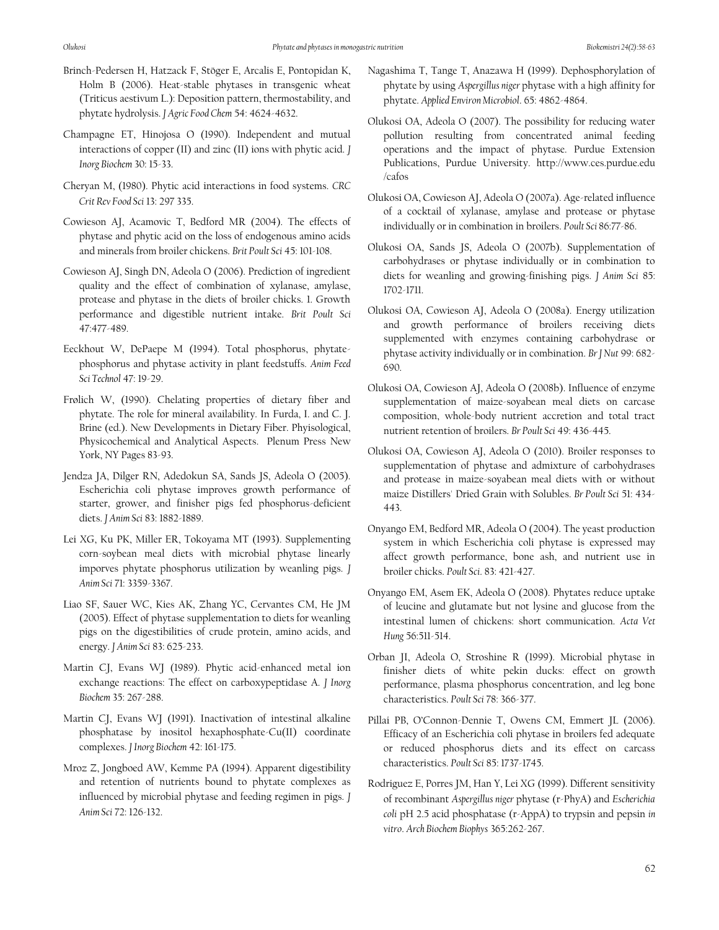- Brinch-Pedersen H, Hatzack F, Stöger E, Arcalis E, Pontopidan K, Holm B (2006). Heat-stable phytases in transgenic wheat (Triticus aestivum L.): Deposition pattern, thermostability, and phytate hydrolysis. *J Agric Food Chem* 54: 4624-4632.
- Champagne ET, Hinojosa O (1990). Independent and mutual interactions of copper (II) and zinc (II) ions with phytic acid. *J Inorg Biochem* 30: 15-33.
- Cheryan M, (1980). Phytic acid interactions in food systems. *CRC Crit Rev Food Sci* 13: 297 335.
- Cowieson AJ, Acamovic T, Bedford MR (2004). The effects of phytase and phytic acid on the loss of endogenous amino acids and minerals from broiler chickens. *Brit Poult Sci* 45: 101-108.
- Cowieson AJ, Singh DN, Adeola O (2006). Prediction of ingredient quality and the effect of combination of xylanase, amylase, protease and phytase in the diets of broiler chicks. 1. Growth performance and digestible nutrient intake. *Brit Poult Sci*  47:477-489.
- Eeckhout W, DePaepe M (1994). Total phosphorus, phytatephosphorus and phytase activity in plant feedstuffs. *Anim Feed Sci Technol* 47: 19-29.
- Frølich W, (1990). Chelating properties of dietary fiber and phytate. The role for mineral availability. In Furda, I. and C. J. Brine (ed.). New Developments in Dietary Fiber. Phyisological, Physicochemical and Analytical Aspects. Plenum Press New York, NY Pages 83-93.
- Jendza JA, Dilger RN, Adedokun SA, Sands JS, Adeola O (2005). Escherichia coli phytase improves growth performance of starter, grower, and finisher pigs fed phosphorus-deficient diets. *J Anim Sci* 83: 1882-1889.
- Lei XG, Ku PK, Miller ER, Tokoyama MT (1993). Supplementing corn-soybean meal diets with microbial phytase linearly imporves phytate phosphorus utilization by weanling pigs. *J Anim Sci* 71: 3359-3367.
- Liao SF, Sauer WC, Kies AK, Zhang YC, Cervantes CM, He JM (2005). Effect of phytase supplementation to diets for weanling pigs on the digestibilities of crude protein, amino acids, and energy. *J Anim Sci* 83: 625-233.
- Martin CJ, Evans WJ (1989). Phytic acid-enhanced metal ion exchange reactions: The effect on carboxypeptidase A. *J Inorg Biochem* 35: 267-288.
- Martin CJ, Evans WJ (1991). Inactivation of intestinal alkaline phosphatase by inositol hexaphosphate-Cu(II) coordinate complexes. *J Inorg Biochem* 42: 161-175.
- Mroz Z, Jongboed AW, Kemme PA (1994). Apparent digestibility and retention of nutrients bound to phytate complexes as influenced by microbial phytase and feeding regimen in pigs. *J Anim Sci* 72: 126-132.
- Nagashima T, Tange T, Anazawa H (1999). Dephosphorylation of phytate by using *Aspergillus niger* phytase with a high affinity for phytate. *Applied Environ Microbiol*. 65: 4862-4864.
- Olukosi OA, Adeola O (2007). The possibility for reducing water pollution resulting from concentrated animal feeding operations and the impact of phytase. Purdue Extension Publications, Purdue University. http://www.ces.purdue.edu /cafos
- Olukosi OA, Cowieson AJ, Adeola O (2007a). Age-related influence of a cocktail of xylanase, amylase and protease or phytase individually or in combination in broilers. *Poult Sci* 86:77-86.
- Olukosi OA, Sands JS, Adeola O (2007b). Supplementation of carbohydrases or phytase individually or in combination to diets for weanling and growing-finishing pigs. *J Anim Sci* 85: 1702-1711.
- Olukosi OA, Cowieson AJ, Adeola O (2008a). Energy utilization and growth performance of broilers receiving diets supplemented with enzymes containing carbohydrase or phytase activity individually or in combination. *Br J Nut* 99: 682- 690.
- Olukosi OA, Cowieson AJ, Adeola O (2008b). Influence of enzyme supplementation of maize-soyabean meal diets on carcase composition, whole-body nutrient accretion and total tract nutrient retention of broilers. *Br Poult Sci* 49: 436-445.
- Olukosi OA, Cowieson AJ, Adeola O (2010). Broiler responses to supplementation of phytase and admixture of carbohydrases and protease in maize-soyabean meal diets with or without maize Distillers' Dried Grain with Solubles. *Br Poult Sci* 51: 434- 443.
- Onyango EM, Bedford MR, Adeola O (2004). The yeast production system in which Escherichia coli phytase is expressed may affect growth performance, bone ash, and nutrient use in broiler chicks. *Poult Sci*. 83: 421-427.
- Onyango EM, Asem EK, Adeola O (2008). Phytates reduce uptake of leucine and glutamate but not lysine and glucose from the intestinal lumen of chickens: short communication. *Acta Vet Hung* 56:511-514.
- Orban JI, Adeola O, Stroshine R (1999). Microbial phytase in finisher diets of white pekin ducks: effect on growth performance, plasma phosphorus concentration, and leg bone characteristics. *Poult Sci* 78: 366-377.
- Pillai PB, O'Connon-Dennie T, Owens CM, Emmert JL (2006). Efficacy of an Escherichia coli phytase in broilers fed adequate or reduced phosphorus diets and its effect on carcass characteristics. *Poult Sci* 85: 1737-1745.
- Rodriguez E, Porres JM, Han Y, Lei XG (1999). Different sensitivity of recombinant *Aspergillus niger* phytase (r-PhyA) and *Escherichia coli* pH 2.5 acid phosphatase (r-AppA) to trypsin and pepsin *in vitro*. *Arch Biochem Biophys* 365:262-267.